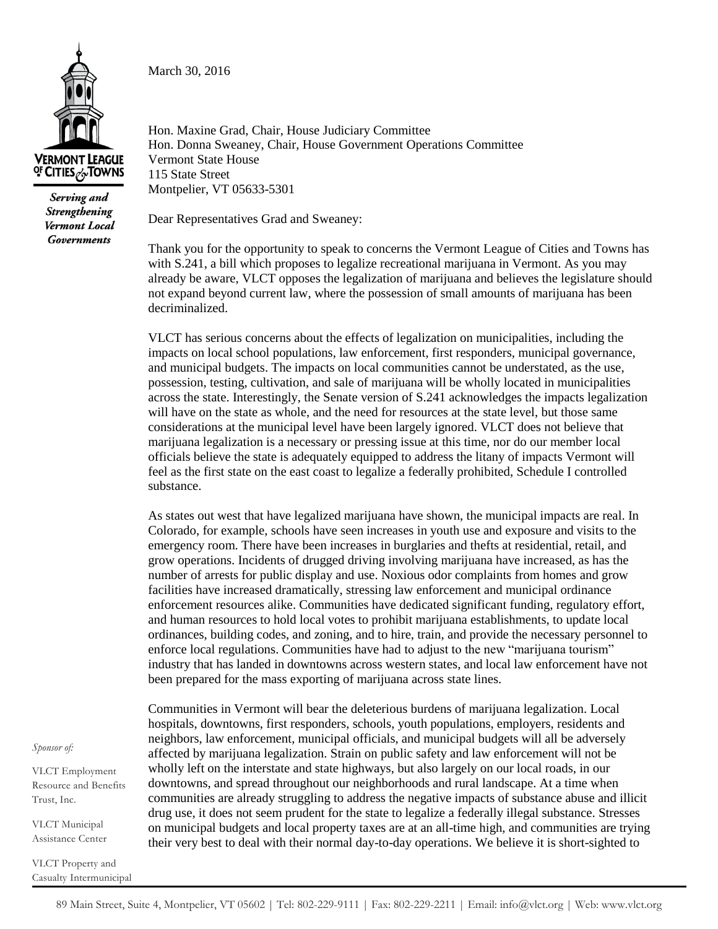March 30, 2016



Serving and **Strengthening** Vermont Local **Governments** 

Hon. Maxine Grad, Chair, House Judiciary Committee Hon. Donna Sweaney, Chair, House Government Operations Committee Vermont State House 115 State Street Montpelier, VT 05633-5301

Dear Representatives Grad and Sweaney:

Thank you for the opportunity to speak to concerns the Vermont League of Cities and Towns has with S.241, a bill which proposes to legalize recreational marijuana in Vermont. As you may already be aware, VLCT opposes the legalization of marijuana and believes the legislature should not expand beyond current law, where the possession of small amounts of marijuana has been decriminalized.

VLCT has serious concerns about the effects of legalization on municipalities, including the impacts on local school populations, law enforcement, first responders, municipal governance, and municipal budgets. The impacts on local communities cannot be understated, as the use, possession, testing, cultivation, and sale of marijuana will be wholly located in municipalities across the state. Interestingly, the Senate version of S.241 acknowledges the impacts legalization will have on the state as whole, and the need for resources at the state level, but those same considerations at the municipal level have been largely ignored. VLCT does not believe that marijuana legalization is a necessary or pressing issue at this time, nor do our member local officials believe the state is adequately equipped to address the litany of impacts Vermont will feel as the first state on the east coast to legalize a federally prohibited, Schedule I controlled substance.

As states out west that have legalized marijuana have shown, the municipal impacts are real. In Colorado, for example, schools have seen increases in youth use and exposure and visits to the emergency room. There have been increases in burglaries and thefts at residential, retail, and grow operations. Incidents of drugged driving involving marijuana have increased, as has the number of arrests for public display and use. Noxious odor complaints from homes and grow facilities have increased dramatically, stressing law enforcement and municipal ordinance enforcement resources alike. Communities have dedicated significant funding, regulatory effort, and human resources to hold local votes to prohibit marijuana establishments, to update local ordinances, building codes, and zoning, and to hire, train, and provide the necessary personnel to enforce local regulations. Communities have had to adjust to the new "marijuana tourism" industry that has landed in downtowns across western states, and local law enforcement have not been prepared for the mass exporting of marijuana across state lines.

Communities in Vermont will bear the deleterious burdens of marijuana legalization. Local hospitals, downtowns, first responders, schools, youth populations, employers, residents and neighbors, law enforcement, municipal officials, and municipal budgets will all be adversely affected by marijuana legalization. Strain on public safety and law enforcement will not be wholly left on the interstate and state highways, but also largely on our local roads, in our downtowns, and spread throughout our neighborhoods and rural landscape. At a time when communities are already struggling to address the negative impacts of substance abuse and illicit drug use, it does not seem prudent for the state to legalize a federally illegal substance. Stresses on municipal budgets and local property taxes are at an all-time high, and communities are trying their very best to deal with their normal day-to-day operations. We believe it is short-sighted to

*Sponsor of:*

VLCT Employment Resource and Benefits Trust, Inc.

VLCT Municipal Assistance Center

VLCT Property and Casualty Intermunicipal